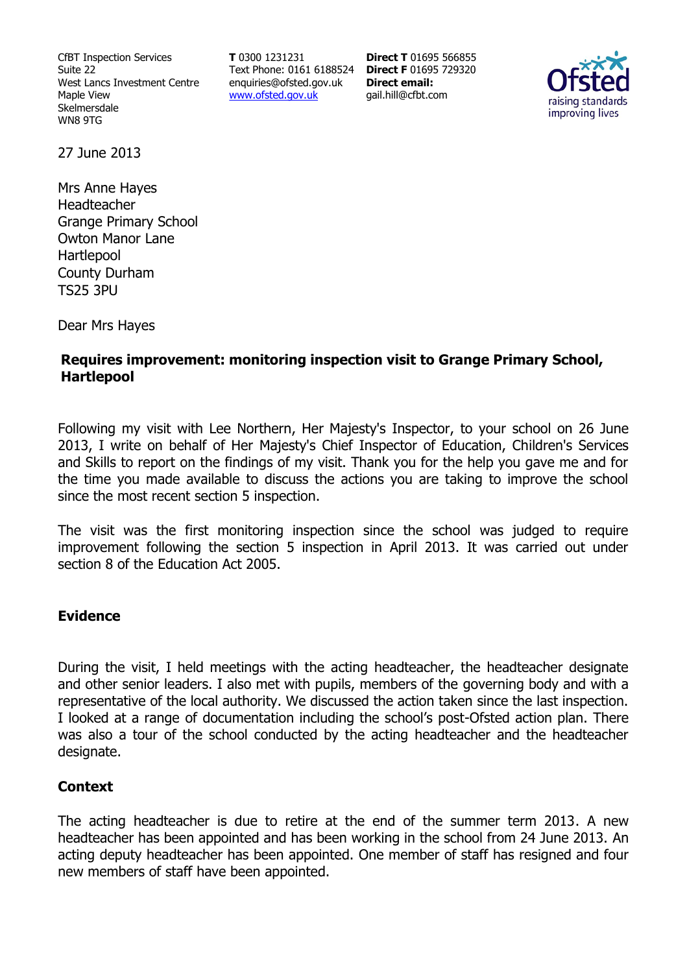CfBT Inspection Services Suite 22 West Lancs Investment Centre Maple View Skelmersdale WN8 9TG

**T** 0300 1231231 Text Phone: 0161 6188524 **Direct F** 01695 729320 enquiries@ofsted.gov.uk www.ofsted.gov.uk

**Direct T** 01695 566855 **Direct email:**  gail.hill@cfbt.com



27 June 2013

Mrs Anne Hayes Headteacher Grange Primary School Owton Manor Lane Hartlepool County Durham TS25 3PU

Dear Mrs Hayes

# **Requires improvement: monitoring inspection visit to Grange Primary School, Hartlepool**

Following my visit with Lee Northern, Her Majesty's Inspector, to your school on 26 June 2013, I write on behalf of Her Majesty's Chief Inspector of Education, Children's Services and Skills to report on the findings of my visit. Thank you for the help you gave me and for the time you made available to discuss the actions you are taking to improve the school since the most recent section 5 inspection.

The visit was the first monitoring inspection since the school was judged to require improvement following the section 5 inspection in April 2013. It was carried out under section 8 of the Education Act 2005.

### **Evidence**

During the visit, I held meetings with the acting headteacher, the headteacher designate and other senior leaders. I also met with pupils, members of the governing body and with a representative of the local authority. We discussed the action taken since the last inspection. I looked at a range of documentation including the school's post-Ofsted action plan. There was also a tour of the school conducted by the acting headteacher and the headteacher designate.

# **Context**

The acting headteacher is due to retire at the end of the summer term 2013. A new headteacher has been appointed and has been working in the school from 24 June 2013. An acting deputy headteacher has been appointed. One member of staff has resigned and four new members of staff have been appointed.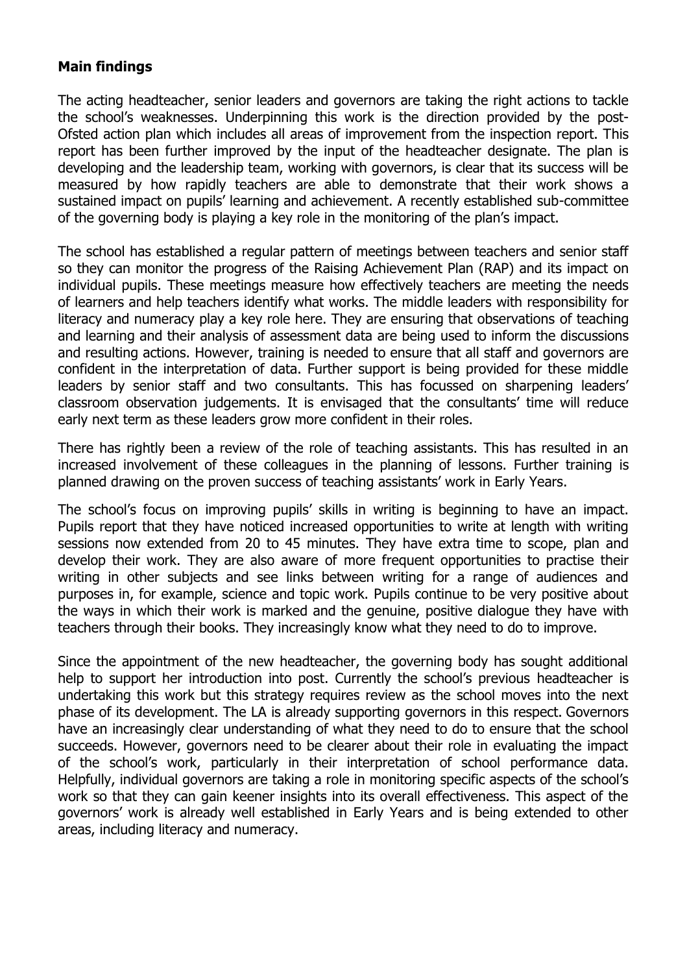### **Main findings**

The acting headteacher, senior leaders and governors are taking the right actions to tackle the school's weaknesses. Underpinning this work is the direction provided by the post-Ofsted action plan which includes all areas of improvement from the inspection report. This report has been further improved by the input of the headteacher designate. The plan is developing and the leadership team, working with governors, is clear that its success will be measured by how rapidly teachers are able to demonstrate that their work shows a sustained impact on pupils' learning and achievement. A recently established sub-committee of the governing body is playing a key role in the monitoring of the plan's impact.

The school has established a regular pattern of meetings between teachers and senior staff so they can monitor the progress of the Raising Achievement Plan (RAP) and its impact on individual pupils. These meetings measure how effectively teachers are meeting the needs of learners and help teachers identify what works. The middle leaders with responsibility for literacy and numeracy play a key role here. They are ensuring that observations of teaching and learning and their analysis of assessment data are being used to inform the discussions and resulting actions. However, training is needed to ensure that all staff and governors are confident in the interpretation of data. Further support is being provided for these middle leaders by senior staff and two consultants. This has focussed on sharpening leaders' classroom observation judgements. It is envisaged that the consultants' time will reduce early next term as these leaders grow more confident in their roles.

There has rightly been a review of the role of teaching assistants. This has resulted in an increased involvement of these colleagues in the planning of lessons. Further training is planned drawing on the proven success of teaching assistants' work in Early Years.

The school's focus on improving pupils' skills in writing is beginning to have an impact. Pupils report that they have noticed increased opportunities to write at length with writing sessions now extended from 20 to 45 minutes. They have extra time to scope, plan and develop their work. They are also aware of more frequent opportunities to practise their writing in other subjects and see links between writing for a range of audiences and purposes in, for example, science and topic work. Pupils continue to be very positive about the ways in which their work is marked and the genuine, positive dialogue they have with teachers through their books. They increasingly know what they need to do to improve.

Since the appointment of the new headteacher, the governing body has sought additional help to support her introduction into post. Currently the school's previous headteacher is undertaking this work but this strategy requires review as the school moves into the next phase of its development. The LA is already supporting governors in this respect. Governors have an increasingly clear understanding of what they need to do to ensure that the school succeeds. However, governors need to be clearer about their role in evaluating the impact of the school's work, particularly in their interpretation of school performance data. Helpfully, individual governors are taking a role in monitoring specific aspects of the school's work so that they can gain keener insights into its overall effectiveness. This aspect of the governors' work is already well established in Early Years and is being extended to other areas, including literacy and numeracy.